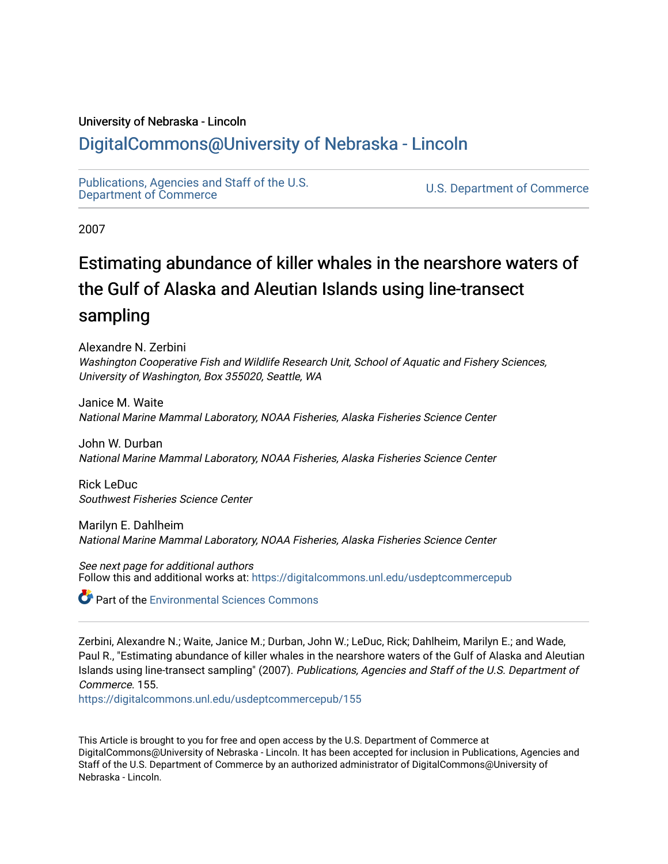### University of Nebraska - Lincoln

# [DigitalCommons@University of Nebraska - Lincoln](https://digitalcommons.unl.edu/)

[Publications, Agencies and Staff of the U.S.](https://digitalcommons.unl.edu/usdeptcommercepub)

U.S. [Department of Commerce](https://digitalcommons.unl.edu/usdeptcommercepub)

2007

# Estimating abundance of killer whales in the nearshore waters of the Gulf of Alaska and Aleutian Islands using line-transect sampling

Alexandre N. Zerbini Washington Cooperative Fish and Wildlife Research Unit, School of Aquatic and Fishery Sciences, University of Washington, Box 355020, Seattle, WA

Janice M. Waite National Marine Mammal Laboratory, NOAA Fisheries, Alaska Fisheries Science Center

John W. Durban National Marine Mammal Laboratory, NOAA Fisheries, Alaska Fisheries Science Center

Rick LeDuc Southwest Fisheries Science Center

Marilyn E. Dahlheim National Marine Mammal Laboratory, NOAA Fisheries, Alaska Fisheries Science Center

See next page for additional authors Follow this and additional works at: [https://digitalcommons.unl.edu/usdeptcommercepub](https://digitalcommons.unl.edu/usdeptcommercepub?utm_source=digitalcommons.unl.edu%2Fusdeptcommercepub%2F155&utm_medium=PDF&utm_campaign=PDFCoverPages)

**C** Part of the [Environmental Sciences Commons](http://network.bepress.com/hgg/discipline/167?utm_source=digitalcommons.unl.edu%2Fusdeptcommercepub%2F155&utm_medium=PDF&utm_campaign=PDFCoverPages)

Zerbini, Alexandre N.; Waite, Janice M.; Durban, John W.; LeDuc, Rick; Dahlheim, Marilyn E.; and Wade, Paul R., "Estimating abundance of killer whales in the nearshore waters of the Gulf of Alaska and Aleutian Islands using line-transect sampling" (2007). Publications, Agencies and Staff of the U.S. Department of Commerce. 155.

[https://digitalcommons.unl.edu/usdeptcommercepub/155](https://digitalcommons.unl.edu/usdeptcommercepub/155?utm_source=digitalcommons.unl.edu%2Fusdeptcommercepub%2F155&utm_medium=PDF&utm_campaign=PDFCoverPages) 

This Article is brought to you for free and open access by the U.S. Department of Commerce at DigitalCommons@University of Nebraska - Lincoln. It has been accepted for inclusion in Publications, Agencies and Staff of the U.S. Department of Commerce by an authorized administrator of DigitalCommons@University of Nebraska - Lincoln.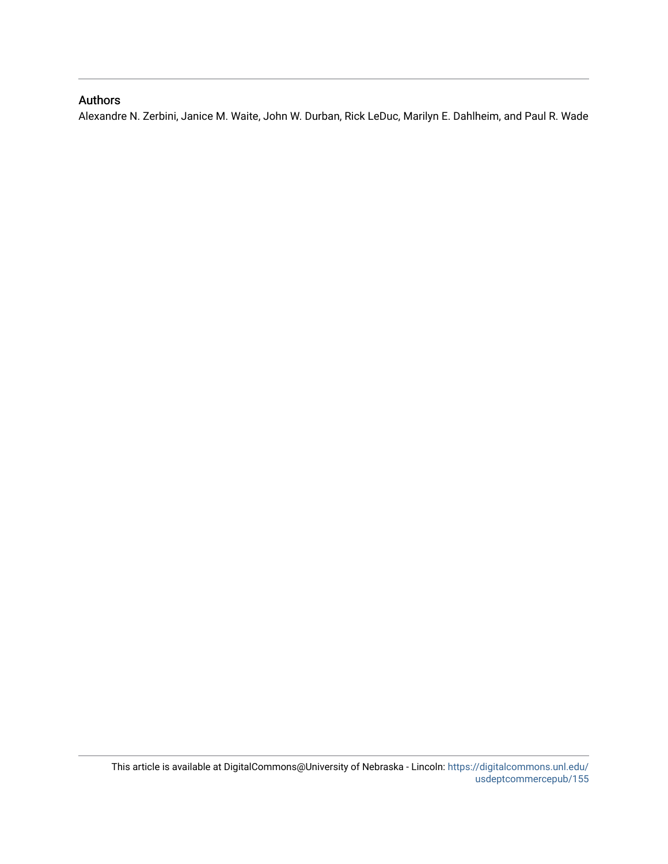## Authors

Alexandre N. Zerbini, Janice M. Waite, John W. Durban, Rick LeDuc, Marilyn E. Dahlheim, and Paul R. Wade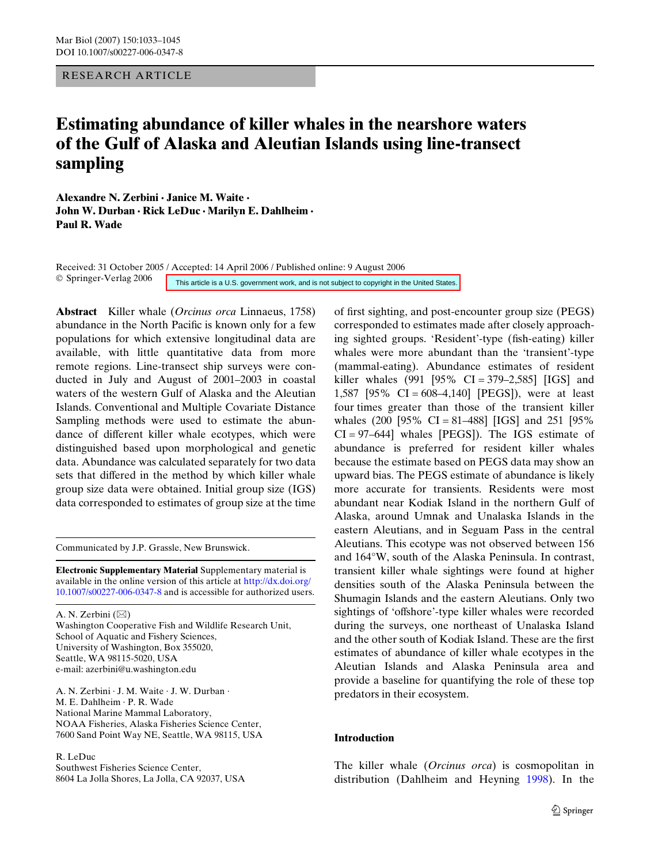RESEARCH ARTICLE

# **Estimating abundance of killer whales in the nearshore waters of the Gulf of Alaska and Aleutian Islands using line-transect sampling**

**Alexandre N. Zerbini · Janice M. Waite · John W. Durban · Rick LeDuc · Marilyn E. Dahlheim · Paul R. Wade** 

Received: 31 October 2005 / Accepted: 14 April 2006 / Published online: 9 August 2006 © Springer-Verlag 2006 This article is a U.S. government work, and is not subject to copyright in the United States.

**Abstract** Killer whale (*Orcinus orca* Linnaeus, 1758) abundance in the North Pacific is known only for a few populations for which extensive longitudinal data are available, with little quantitative data from more remote regions. Line-transect ship surveys were conducted in July and August of 2001–2003 in coastal waters of the western Gulf of Alaska and the Aleutian Islands. Conventional and Multiple Covariate Distance Sampling methods were used to estimate the abundance of different killer whale ecotypes, which were distinguished based upon morphological and genetic data. Abundance was calculated separately for two data sets that differed in the method by which killer whale group size data were obtained. Initial group size (IGS) data corresponded to estimates of group size at the time

Communicated by J.P. Grassle, New Brunswick.

**Electronic Supplementary Material** [Supplementary material is](http://dx.doi.org/10.1007/s00227-006-0347-8)  [available in the online version of this article at](http://dx.doi.org/10.1007/s00227-006-0347-8) http://dx.doi.org/ 10.1007/s00227-006-0347-8 and is accessible for authorized users.

A. N. Zerbini  $(\boxtimes)$ 

Washington Cooperative Fish and Wildlife Research Unit, School of Aquatic and Fishery Sciences, University of Washington, Box 355020, Seattle, WA 98115-5020, USA e-mail: azerbini@u.washington.edu

A. N. Zerbini · J. M. Waite · J. W. Durban · M. E. Dahlheim · P. R. Wade National Marine Mammal Laboratory, NOAA Fisheries, Alaska Fisheries Science Center, 7600 Sand Point Way NE, Seattle, WA 98115, USA

R. LeDuc

Southwest Fisheries Science Center, 8604 La Jolla Shores, La Jolla, CA 92037, USA of first sighting, and post-encounter group size (PEGS) corresponded to estimates made after closely approaching sighted groups. 'Resident'-type (fish-eating) killer whales were more abundant than the 'transient'-type (mammal-eating). Abundance estimates of resident killer whales (991 [95% CI = 379–2,585] [IGS] and 1,587 [95% CI = 608–4,140] [PEGS]), were at least four times greater than those of the transient killer whales  $(200 \, [95\% \, CI = 81-488] \, [IGS]$  and  $251 \, [95\%$ CI = 97–644] whales [PEGS]). The IGS estimate of abundance is preferred for resident killer whales because the estimate based on PEGS data may show an upward bias. The PEGS estimate of abundance is likely more accurate for transients. Residents were most abundant near Kodiak Island in the northern Gulf of Alaska, around Umnak and Unalaska Islands in the eastern Aleutians, and in Seguam Pass in the central Aleutians. This ecotype was not observed between 156 and 164°W, south of the Alaska Peninsula. In contrast, transient killer whale sightings were found at higher densities south of the Alaska Peninsula between the Shumagin Islands and the eastern Aleutians. Only two sightings of 'offshore'-type killer whales were recorded during the surveys, one northeast of Unalaska Island and the other south of Kodiak Island. These are the first estimates of abundance of killer whale ecotypes in the Aleutian Islands and Alaska Peninsula area and provide a baseline for quantifying the role of these top predators in their ecosystem.

#### **Introduction**

The killer whale (*Orcinus orca*) is cosmopolitan in distribution (Dahlheim and Heyning [1998](#page-13-0)). In the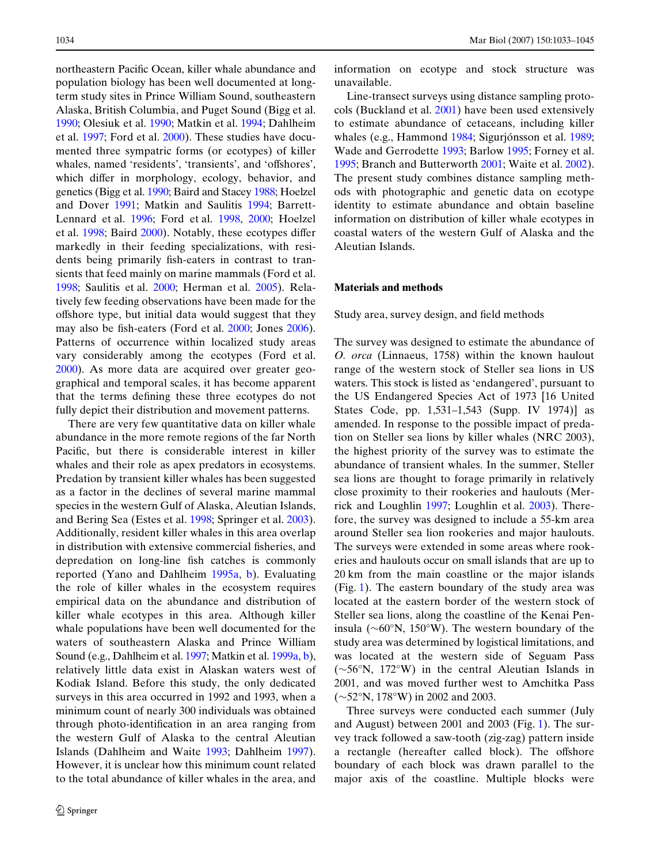northeastern Pacific Ocean, killer whale abundance and population biology has been well documented at longterm study sites in Prince William Sound, southeastern Alaska, British Columbia, and Puget Sound (Bigg et al. [1990](#page-13-1); Olesiuk et al. [1990;](#page-14-0) Matkin et al. [1994;](#page-13-2) Dahlheim et al. [1997](#page-13-3); Ford et al. [2000](#page-13-4)). These studies have documented three sympatric forms (or ecotypes) of killer whales, named 'residents', 'transients', and 'offshores', which differ in morphology, ecology, behavior, and genetics (Bigg et al. [1990](#page-13-1); Baird and Stacey [1988;](#page-12-0) Hoelzel and Dover [1991;](#page-13-5) Matkin and Saulitis [1994;](#page-13-6) Barrett-Lennard et al. [1996;](#page-12-1) Ford et al. [1998,](#page-13-7) [2000;](#page-13-4) Hoelzel et al.  $1998$ ; Baird  $2000$ ). Notably, these ecotypes differ markedly in their feeding specializations, with residents being primarily fish-eaters in contrast to transients that feed mainly on marine mammals (Ford et al. [1998](#page-13-7); Saulitis et al. [2000](#page-14-1); Herman et al. [2005](#page-13-9)). Relatively few feeding observations have been made for the offshore type, but initial data would suggest that they may also be fish-eaters (Ford et al. [2000;](#page-13-4) Jones [2006\)](#page-13-10). Patterns of occurrence within localized study areas vary considerably among the ecotypes (Ford et al. [2000](#page-13-4)). As more data are acquired over greater geographical and temporal scales, it has become apparent that the terms defining these three ecotypes do not fully depict their distribution and movement patterns.

There are very few quantitative data on killer whale abundance in the more remote regions of the far North Pacific, but there is considerable interest in killer whales and their role as apex predators in ecosystems. Predation by transient killer whales has been suggested as a factor in the declines of several marine mammal species in the western Gulf of Alaska, Aleutian Islands, and Bering Sea (Estes et al. [1998;](#page-13-11) Springer et al. [2003\)](#page-14-2). Additionally, resident killer whales in this area overlap in distribution with extensive commercial fisheries, and depredation on long-line fish catches is commonly reported (Yano and Dahlheim [1995a,](#page-14-3) [b](#page-14-4)). Evaluating the role of killer whales in the ecosystem requires empirical data on the abundance and distribution of killer whale ecotypes in this area. Although killer whale populations have been well documented for the waters of southeastern Alaska and Prince William Sound (e.g., Dahlheim et al. [1997](#page-13-3); Matkin et al. [1999a](#page-13-12), [b](#page-14-5)), relatively little data exist in Alaskan waters west of Kodiak Island. Before this study, the only dedicated surveys in this area occurred in 1992 and 1993, when a minimum count of nearly 300 individuals was obtained through photo-identification in an area ranging from the western Gulf of Alaska to the central Aleutian Islands (Dahlheim and Waite [1993](#page-13-13); Dahlheim [1997\)](#page-13-14). However, it is unclear how this minimum count related to the total abundance of killer whales in the area, and information on ecotype and stock structure was unavailable.

Line-transect surveys using distance sampling protocols (Buckland et al. [2001\)](#page-13-15) have been used extensively to estimate abundance of cetaceans, including killer whales (e.g., Hammond [1984](#page-13-16); Sigurjónsson et al. [1989;](#page-14-6) Wade and Gerrodette [1993;](#page-14-7) Barlow [1995](#page-12-3); Forney et al. [1995](#page-13-17); Branch and Butterworth [2001;](#page-13-18) Waite et al. [2002\)](#page-14-8). The present study combines distance sampling methods with photographic and genetic data on ecotype identity to estimate abundance and obtain baseline information on distribution of killer whale ecotypes in coastal waters of the western Gulf of Alaska and the Aleutian Islands.

#### **Materials and methods**

Study area, survey design, and field methods

The survey was designed to estimate the abundance of *O. orca* (Linnaeus, 1758) within the known haulout range of the western stock of Steller sea lions in US waters. This stock is listed as 'endangered', pursuant to the US Endangered Species Act of 1973 [16 United States Code, pp. 1,531–1,543 (Supp. IV 1974)] as amended. In response to the possible impact of predation on Steller sea lions by killer whales (NRC 2003), the highest priority of the survey was to estimate the abundance of transient whales. In the summer, Steller sea lions are thought to forage primarily in relatively close proximity to their rookeries and haulouts (Merrick and Loughlin [1997](#page-14-9); Loughlin et al. [2003\)](#page-13-19). Therefore, the survey was designed to include a 55-km area around Steller sea lion rookeries and major haulouts. The surveys were extended in some areas where rookeries and haulouts occur on small islands that are up to 20 km from the main coastline or the major islands (Fig. [1\)](#page-4-0). The eastern boundary of the study area was located at the eastern border of the western stock of Steller sea lions, along the coastline of the Kenai Peninsula ( $\sim 60^{\circ}$ N, 150°W). The western boundary of the study area was determined by logistical limitations, and was located at the western side of Seguam Pass  $(\sim 56^{\circ}N, 172^{\circ}W)$  in the central Aleutian Islands in 2001, and was moved further west to Amchitka Pass (»52°N, 178°W) in 2002 and 2003.

Three surveys were conducted each summer (July and August) between 2001 and 2003 (Fig. [1\)](#page-4-0). The survey track followed a saw-tooth (zig-zag) pattern inside a rectangle (hereafter called block). The offshore boundary of each block was drawn parallel to the major axis of the coastline. Multiple blocks were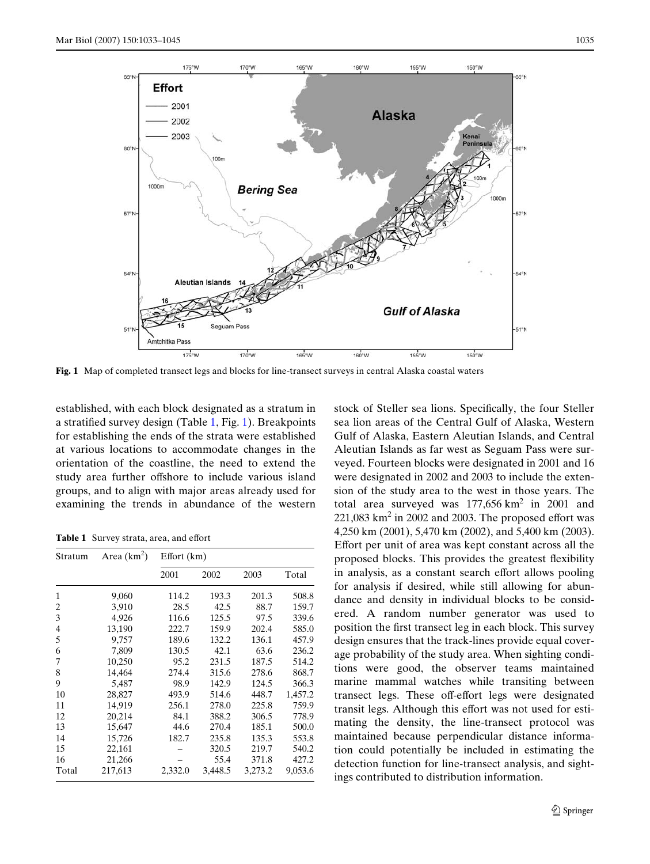

<span id="page-4-0"></span>**Fig. 1** Map of completed transect legs and blocks for line-transect surveys in central Alaska coastal waters

established, with each block designated as a stratum in a stratified survey design (Table [1,](#page-4-1) Fig. [1\)](#page-4-0). Breakpoints for establishing the ends of the strata were established at various locations to accommodate changes in the orientation of the coastline, the need to extend the study area further offshore to include various island groups, and to align with major areas already used for examining the trends in abundance of the western

<span id="page-4-1"></span>**Table 1** Survey strata, area, and effort

| Stratum | Area $(km^2)$ | Effort(km) |         |         |         |
|---------|---------------|------------|---------|---------|---------|
|         |               | 2001       | 2002    | 2003    | Total   |
| 1       | 9,060         | 114.2      | 193.3   | 201.3   | 508.8   |
| 2       | 3,910         | 28.5       | 42.5    | 88.7    | 159.7   |
| 3       | 4,926         | 116.6      | 125.5   | 97.5    | 339.6   |
| 4       | 13,190        | 222.7      | 159.9   | 202.4   | 585.0   |
| 5       | 9,757         | 189.6      | 132.2   | 136.1   | 457.9   |
| 6       | 7,809         | 130.5      | 42.1    | 63.6    | 236.2   |
| 7       | 10,250        | 95.2       | 231.5   | 187.5   | 514.2   |
| 8       | 14,464        | 274.4      | 315.6   | 278.6   | 868.7   |
| 9       | 5,487         | 98.9       | 142.9   | 124.5   | 366.3   |
| 10      | 28,827        | 493.9      | 514.6   | 448.7   | 1,457.2 |
| 11      | 14,919        | 256.1      | 278.0   | 225.8   | 759.9   |
| 12      | 20,214        | 84.1       | 388.2   | 306.5   | 778.9   |
| 13      | 15,647        | 44.6       | 270.4   | 185.1   | 500.0   |
| 14      | 15,726        | 182.7      | 235.8   | 135.3   | 553.8   |
| 15      | 22,161        |            | 320.5   | 219.7   | 540.2   |
| 16      | 21,266        |            | 55.4    | 371.8   | 427.2   |
| Total   | 217,613       | 2,332.0    | 3,448.5 | 3,273.2 | 9,053.6 |

stock of Steller sea lions. Specifically, the four Steller sea lion areas of the Central Gulf of Alaska, Western Gulf of Alaska, Eastern Aleutian Islands, and Central Aleutian Islands as far west as Seguam Pass were surveyed. Fourteen blocks were designated in 2001 and 16 were designated in 2002 and 2003 to include the extension of the study area to the west in those years. The total area surveyed was  $177,656 \text{ km}^2$  in 2001 and  $221,083$  km<sup>2</sup> in 2002 and 2003. The proposed effort was 4,250 km (2001), 5,470 km (2002), and 5,400 km (2003). Effort per unit of area was kept constant across all the proposed blocks. This provides the greatest flexibility in analysis, as a constant search effort allows pooling for analysis if desired, while still allowing for abundance and density in individual blocks to be considered. A random number generator was used to position the first transect leg in each block. This survey design ensures that the track-lines provide equal coverage probability of the study area. When sighting conditions were good, the observer teams maintained marine mammal watches while transiting between transect legs. These off-effort legs were designated transit legs. Although this effort was not used for estimating the density, the line-transect protocol was maintained because perpendicular distance information could potentially be included in estimating the detection function for line-transect analysis, and sightings contributed to distribution information.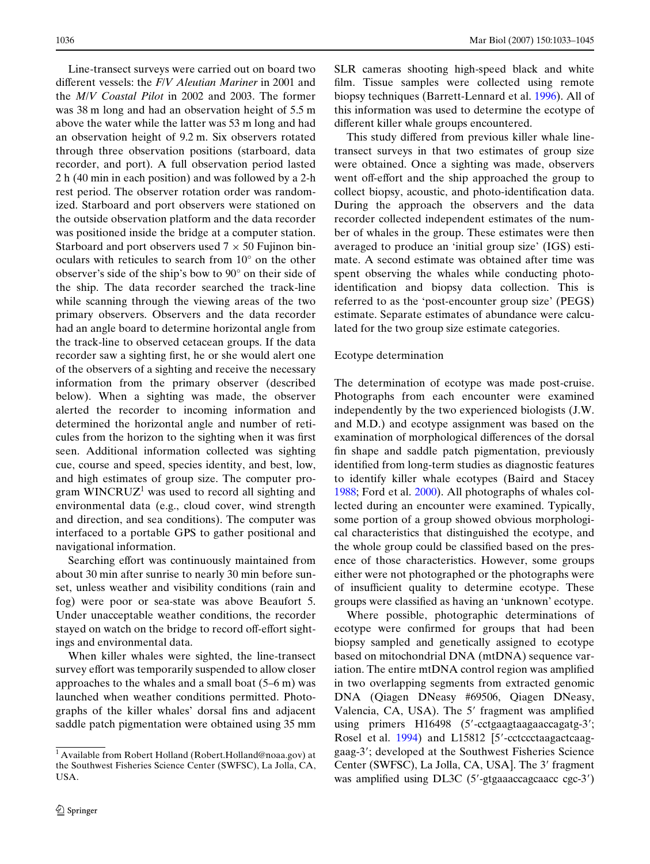Line-transect surveys were carried out on board two different vessels: the *F/V Aleutian Mariner* in 2001 and the *M*/*V Coastal Pilot* in 2002 and 2003. The former was 38 m long and had an observation height of 5.5 m above the water while the latter was 53 m long and had an observation height of 9.2 m. Six observers rotated through three observation positions (starboard, data recorder, and port). A full observation period lasted 2 h (40 min in each position) and was followed by a 2-h rest period. The observer rotation order was randomized. Starboard and port observers were stationed on the outside observation platform and the data recorder was positioned inside the bridge at a computer station. Starboard and port observers used  $7 \times 50$  Fujinon binoculars with reticules to search from 10° on the other observer's side of the ship's bow to 90° on their side of the ship. The data recorder searched the track-line while scanning through the viewing areas of the two primary observers. Observers and the data recorder had an angle board to determine horizontal angle from the track-line to observed cetacean groups. If the data recorder saw a sighting first, he or she would alert one of the observers of a sighting and receive the necessary information from the primary observer (described below). When a sighting was made, the observer alerted the recorder to incoming information and determined the horizontal angle and number of reticules from the horizon to the sighting when it was first seen. Additional information collected was sighting cue, course and speed, species identity, and best, low, and high estimates of group size. The computer program  $WINCRUZ<sup>1</sup>$  was used to record all sighting and environmental data (e.g., cloud cover, wind strength and direction, and sea conditions). The computer was interfaced to a portable GPS to gather positional and navigational information.

Searching effort was continuously maintained from about 30 min after sunrise to nearly 30 min before sunset, unless weather and visibility conditions (rain and fog) were poor or sea-state was above Beaufort 5. Under unacceptable weather conditions, the recorder stayed on watch on the bridge to record off-effort sightings and environmental data.

When killer whales were sighted, the line-transect survey effort was temporarily suspended to allow closer approaches to the whales and a small boat (5–6 m) was launched when weather conditions permitted. Photographs of the killer whales' dorsal fins and adjacent saddle patch pigmentation were obtained using 35 mm SLR cameras shooting high-speed black and white film. Tissue samples were collected using remote biopsy techniques (Barrett-Lennard et al. [1996\)](#page-12-1). All of this information was used to determine the ecotype of different killer whale groups encountered.

This study differed from previous killer whale linetransect surveys in that two estimates of group size were obtained. Once a sighting was made, observers went off-effort and the ship approached the group to collect biopsy, acoustic, and photo-identification data. During the approach the observers and the data recorder collected independent estimates of the number of whales in the group. These estimates were then averaged to produce an 'initial group size' (IGS) estimate. A second estimate was obtained after time was spent observing the whales while conducting photoidentification and biopsy data collection. This is referred to as the 'post-encounter group size' (PEGS) estimate. Separate estimates of abundance were calculated for the two group size estimate categories.

#### Ecotype determination

The determination of ecotype was made post-cruise. Photographs from each encounter were examined independently by the two experienced biologists (J.W. and M.D.) and ecotype assignment was based on the examination of morphological differences of the dorsal fin shape and saddle patch pigmentation, previously identified from long-term studies as diagnostic features to identify killer whale ecotypes (Baird and Stacey [1988](#page-12-0); Ford et al. [2000\)](#page-13-4). All photographs of whales collected during an encounter were examined. Typically, some portion of a group showed obvious morphological characteristics that distinguished the ecotype, and the whole group could be classified based on the presence of those characteristics. However, some groups either were not photographed or the photographs were of insufficient quality to determine ecotype. These groups were classified as having an 'unknown' ecotype.

Where possible, photographic determinations of ecotype were confirmed for groups that had been biopsy sampled and genetically assigned to ecotype based on mitochondrial DNA (mtDNA) sequence variation. The entire mtDNA control region was amplified in two overlapping segments from extracted genomic DNA (Qiagen DNeasy #69506, Qiagen DNeasy, Valencia, CA, USA). The 5' fragment was amplified using primers H16498 (5'-cctgaagtaagaaccagatg-3'; Rosel et al. [1994\)](#page-14-10) and L15812 [5'-cctccctaagactcaaggaag-3; developed at the Southwest Fisheries Science Center (SWFSC), La Jolla, CA, USA]. The 3' fragment was amplified using DL3C ( $5'$ -gtgaaaccagcaacc cgc-3')

<sup>&</sup>lt;sup>1</sup> Available from Robert Holland (Robert.Holland@noaa.gov) at the Southwest Fisheries Science Center (SWFSC), La Jolla, CA, USA.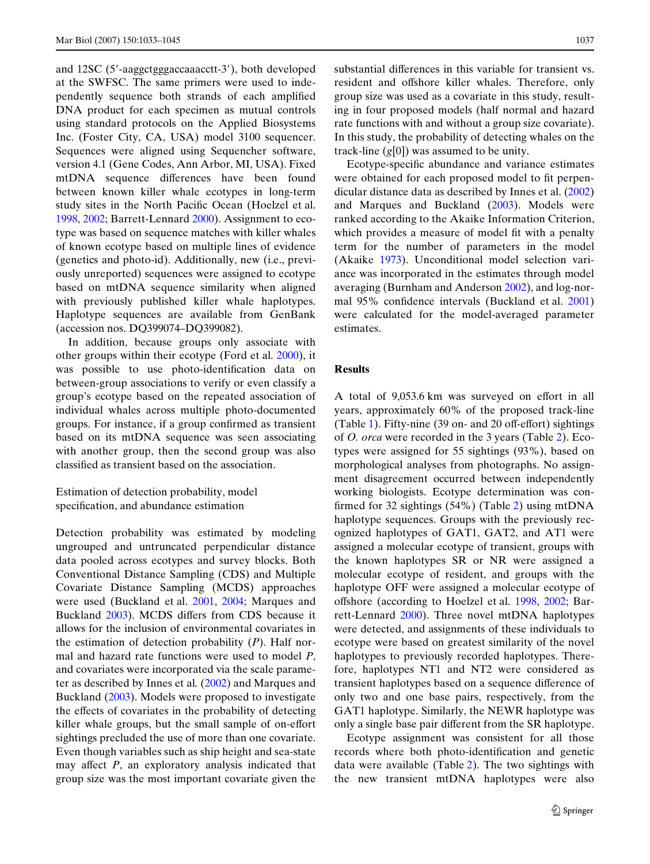and 12SC (5-aaggctgggaccaaacctt-3), both developed at the SWFSC. The same primers were used to independently sequence both strands of each amplified DNA product for each specimen as mutual controls using standard protocols on the Applied Biosystems Inc. (Foster City, CA, USA) model 3100 sequencer. Sequences were aligned using Sequencher software, version 4.1 (Gene Codes, Ann Arbor, MI, USA). Fixed mtDNA sequence differences have been found between known killer whale ecotypes in long-term study sites in the North Pacific Ocean (Hoelzel et al. [1998](#page-13-8), [2002](#page-13-20); Barrett-Lennard [2000](#page-12-4)). Assignment to ecotype was based on sequence matches with killer whales of known ecotype based on multiple lines of evidence (genetics and photo-id). Additionally, new (i.e., previously unreported) sequences were assigned to ecotype based on mtDNA sequence similarity when aligned with previously published killer whale haplotypes. Haplotype sequences are available from GenBank (accession nos. DQ399074–DQ399082).

In addition, because groups only associate with other groups within their ecotype (Ford et al. [2000\)](#page-13-4), it was possible to use photo-identification data on between-group associations to verify or even classify a group's ecotype based on the repeated association of individual whales across multiple photo-documented groups. For instance, if a group confirmed as transient based on its mtDNA sequence was seen associating with another group, then the second group was also classified as transient based on the association.

Estimation of detection probability, model specification, and abundance estimation

Detection probability was estimated by modeling ungrouped and untruncated perpendicular distance data pooled across ecotypes and survey blocks. Both Conventional Distance Sampling (CDS) and Multiple Covariate Distance Sampling (MCDS) approaches were used (Buckland et al. [2001,](#page-13-15) [2004](#page-13-21); Marques and Buckland [2003\)](#page-13-22). MCDS differs from CDS because it allows for the inclusion of environmental covariates in the estimation of detection probability (*P*). Half normal and hazard rate functions were used to model *P*, and covariates were incorporated via the scale parameter as described by Innes et al*.* ([2002\)](#page-13-23) and Marques and Buckland [\(2003](#page-13-22)). Models were proposed to investigate the effects of covariates in the probability of detecting killer whale groups, but the small sample of on-effort sightings precluded the use of more than one covariate. Even though variables such as ship height and sea-state may affect  $P$ , an exploratory analysis indicated that group size was the most important covariate given the substantial differences in this variable for transient vs. resident and offshore killer whales. Therefore, only group size was used as a covariate in this study, resulting in four proposed models (half normal and hazard rate functions with and without a group size covariate). In this study, the probability of detecting whales on the track-line (*g*[0]) was assumed to be unity.

Ecotype-specific abundance and variance estimates were obtained for each proposed model to fit perpendicular distance data as described by Innes et al. [\(2002](#page-13-23)) and Marques and Buckland ([2003\)](#page-13-22). Models were ranked according to the Akaike Information Criterion, which provides a measure of model fit with a penalty term for the number of parameters in the model (Akaike [1973\)](#page-12-5). Unconditional model selection variance was incorporated in the estimates through model averaging (Burnham and Anderson [2002](#page-13-24)), and log-nor-mal 95% confidence intervals (Buckland et al. [2001](#page-13-15)) were calculated for the model-averaged parameter estimates.

#### **Results**

A total of 9,053.6 km was surveyed on effort in all years, approximately 60% of the proposed track-line (Table [1\)](#page-4-1). Fifty-nine (39 on- and 20 off-effort) sightings of *O. orca* were recorded in the 3 years (Table [2\)](#page-7-0). Ecotypes were assigned for 55 sightings (93%), based on morphological analyses from photographs. No assignment disagreement occurred between independently working biologists. Ecotype determination was con-firmed for 3[2](#page-7-0) sightings  $(54\%)$  (Table 2) using mtDNA haplotype sequences. Groups with the previously recognized haplotypes of GAT1, GAT2, and AT1 were assigned a molecular ecotype of transient, groups with the known haplotypes SR or NR were assigned a molecular ecotype of resident, and groups with the haplotype OFF were assigned a molecular ecotype of offshore (according to Hoelzel et al. [1998,](#page-13-8) [2002](#page-13-20); Barrett-Lennard [2000\)](#page-12-4). Three novel mtDNA haplotypes were detected, and assignments of these individuals to ecotype were based on greatest similarity of the novel haplotypes to previously recorded haplotypes. Therefore, haplotypes NT1 and NT2 were considered as transient haplotypes based on a sequence difference of only two and one base pairs, respectively, from the GAT1 haplotype. Similarly, the NEWR haplotype was only a single base pair different from the SR haplotype.

Ecotype assignment was consistent for all those records where both photo-identification and genetic data were available (Table [2\)](#page-7-0). The two sightings with the new transient mtDNA haplotypes were also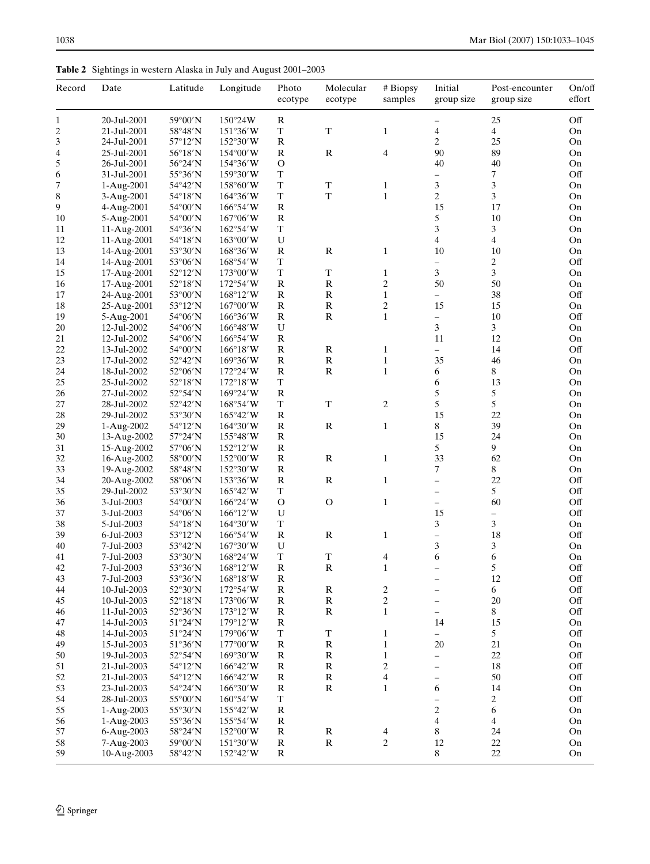<span id="page-7-0"></span>**Table 2** Sightings in western Alaska in July and August 2001–2003

| Record                   | Date                     | Latitude                     | Longitude                               | Photo<br>ecotype | Molecular<br>ecotype       | # Biopsy<br>samples          | Initial<br>group size    | Post-encounter<br>group size               | On/off<br>effort |
|--------------------------|--------------------------|------------------------------|-----------------------------------------|------------------|----------------------------|------------------------------|--------------------------|--------------------------------------------|------------------|
| $\mathbf{1}$             | 20-Jul-2001              | 59°00'N                      | $150^{\circ}24W$                        | R                |                            |                              |                          | 25                                         | Off              |
| $\overline{c}$           | 21-Jul-2001              | 58°48'N                      | 151°36'W                                | $\mathbf T$      | $\mathbf T$                | $\mathbf{1}$                 | 4                        | $\overline{4}$                             | On               |
| 3                        | 24-Jul-2001              | 57°12'N                      | 152°30'W                                | ${\bf R}$        |                            |                              | 2                        | 25                                         | On               |
| $\overline{\mathcal{L}}$ | 25-Jul-2001              | 56°18'N                      | $154^{\circ}00'W$                       | $\mathbb{R}$     | ${\bf R}$                  | $\overline{4}$               | 90                       | 89                                         | On               |
| 5                        | 26-Jul-2001              | 56°24'N                      | 154°36′W                                | $\mathcal{O}$    |                            |                              | 40                       | 40                                         | On               |
| 6                        | 31-Jul-2001              | 55°36'N                      | 159°30′W                                | T<br>T           |                            |                              | Ξ.                       | 7                                          | Off              |
| $\overline{7}$           | 1-Aug-2001               | 54°42'N                      | $158^{\circ}60'W$                       | $\mathbf T$      | $\mathbf T$<br>$\mathbf T$ | $\mathbf{1}$<br>$\mathbf{1}$ | 3<br>$\overline{c}$      | $\mathfrak{Z}$                             | On               |
| 8<br>9                   | 3-Aug-2001<br>4-Aug-2001 | 54°18'N<br>$54^{\circ}00'$ N | $164^{\circ}36'$ W<br>$166^{\circ}54'W$ | ${\bf R}$        |                            |                              | 15                       | 3<br>17                                    | On<br>On         |
| 10                       | 5-Aug-2001               | 54°00'N                      | $167^{\circ}06'$ W                      | $\mathbb{R}$     |                            |                              | 5                        | 10                                         | On               |
| 11                       | 11-Aug-2001              | 54°36'N                      | $162^{\circ}54'W$                       | $\mathbf T$      |                            |                              | 3                        | 3                                          | On               |
| 12                       | 11-Aug-2001              | 54°18'N                      | $163^{\circ}00'$ W                      | U                |                            |                              | $\overline{4}$           | $\overline{4}$                             | On               |
| 13                       | 14-Aug-2001              | 53°30'N                      | $168^{\circ}36'$ W                      | $\mathbb{R}$     | ${\bf R}$                  | $\mathbf{1}$                 | 10                       | 10                                         | On               |
| 14                       | 14-Aug-2001              | 53°06'N                      | $168^{\circ}54'W$                       | $\mathbf T$      |                            |                              | $\overline{\phantom{0}}$ | $\overline{c}$                             | Off              |
| 15                       | 17-Aug-2001              | 52°12'N                      | $173^{\circ}00'$ W                      | $\mathbf T$      | $\mathbf T$                | $\mathbf{1}$                 | 3                        | $\mathfrak{Z}$                             | On               |
| 16                       | 17-Aug-2001              | 52°18'N                      | $172^{\circ}54'W$                       | $\mathbb{R}$     | ${\bf R}$                  | $\sqrt{2}$                   | 50                       | 50                                         | On               |
| 17                       | 24-Aug-2001              | 53°00'N                      | $168^{\circ}12'W$                       | $\mathbb{R}$     | ${\bf R}$                  | $\,1\,$                      | $\overline{\phantom{0}}$ | 38                                         | Off              |
| 18                       | 25-Aug-2001              | 53°12'N                      | $167^{\circ}00'$ W                      | $\mathbb{R}$     | ${\bf R}$                  | $\mathbf{2}$                 | 15                       | 15                                         | On               |
| 19                       | 5-Aug-2001               | 54°06'N                      | $166^{\circ}36'$ W                      | $\mathbb{R}$     | ${\bf R}$                  | $\,1\,$                      | $\qquad \qquad -$        | 10                                         | Off              |
| 20                       | 12-Jul-2002              | 54°06'N                      | 166°48'W                                | U                |                            |                              | 3                        | $\mathfrak{Z}$                             | On               |
| 21                       | 12-Jul-2002              | 54°06'N                      | 166°54'W                                | ${\bf R}$        |                            |                              | 11                       | 12                                         | On               |
| 22                       | 13-Jul-2002              | $54^{\circ}00'$ N            | $166^{\circ}18'$ W                      | $\mathbb{R}$     | ${\bf R}$                  | $\mathbf{1}$                 | $\overline{\phantom{0}}$ | 14                                         | Off              |
| 23                       | 17-Jul-2002              | 52°42'N                      | $169^{\circ}36'W$                       | $\mathbb{R}$     | ${\bf R}$                  | $\,1\,$                      | 35                       | 46                                         | On               |
| 24                       | 18-Jul-2002              | 52°06'N                      | 172°24′W                                | $\mathbb{R}$     | ${\bf R}$                  | $\mathbf{1}$                 | 6                        | 8                                          | On               |
| 25                       | 25-Jul-2002              | 52°18'N                      | $172^{\circ}18'W$                       | T                |                            |                              | 6                        | 13                                         | On               |
| 26                       | 27-Jul-2002              | 52°54'N                      | $169^{\circ}24'W$                       | $\mathbb{R}$     |                            |                              | 5                        | 5                                          | On               |
| 27                       | 28-Jul-2002              | 52°42'N                      | 168°54'W                                | T                | $\mathbf T$                | $\mathbf{2}$                 | 5                        | 5                                          | On               |
| 28                       | 29-Jul-2002              | 53°30'N                      | $165^{\circ}42'W$                       | $\mathbb{R}$     |                            |                              | 15                       | 22                                         | On               |
| 29                       | 1-Aug-2002               | 54°12'N                      | 164°30'W                                | $\mathbb{R}$     | ${\bf R}$                  | $\,1\,$                      | 8                        | 39                                         | On               |
| 30                       | 13-Aug-2002              | 57°24'N                      | $155^{\circ}48'$ W                      | ${\bf R}$        |                            |                              | 15                       | 24                                         | On               |
| 31                       | 15-Aug-2002              | 57°06'N                      | $152^{\circ}12'W$                       | $\mathbb{R}$     |                            |                              | 5                        | 9                                          | On               |
| 32                       | 16-Aug-2002              | 58°00'N                      | $152^{\circ}00'$ W                      | $\mathbb{R}$     | ${\bf R}$                  | $\mathbf{1}$                 | 33                       | 62                                         | On               |
| 33                       | 19-Aug-2002              | 58°48'N                      | $152^{\circ}30'$ W                      | ${\bf R}$        |                            |                              | 7                        | 8                                          | On               |
| 34                       | 20-Aug-2002              | 58°06'N                      | 153°36'W                                | $\mathbb{R}$     | ${\bf R}$                  | $\mathbf{1}$                 | $\overline{\phantom{0}}$ | 22                                         | Off              |
| 35                       | 29-Jul-2002              | 53°30'N                      | $165^{\circ}42'W$                       | T                |                            |                              | $\overline{\phantom{0}}$ | 5                                          | Off              |
| 36                       | 3-Jul-2003               | 54°00'N                      | 166°24'W                                | $\mathcal{O}$    | $\mathcal{O}$              | $\mathbf{1}$                 | $\overline{\phantom{0}}$ | 60                                         | Off              |
| 37                       | 3-Jul-2003               | 54°06'N                      | $166^{\circ}12'W$                       | U<br>$\mathbf T$ |                            |                              | 15<br>3                  | $\overline{\phantom{0}}$<br>$\mathfrak{Z}$ | Off              |
| 38                       | 5-Jul-2003<br>6-Jul-2003 | 54°18'N                      | $164^{\circ}30'W$                       |                  |                            |                              | $\equiv$                 | 18                                         | On<br>Off        |
| 39<br>40                 | 7-Jul-2003               | 53°12'N<br>53°42'N           | $166^{\circ}54'W$<br>167°30'W           | ${\bf R}$<br>U   | ${\bf R}$                  | $\mathbf{1}$                 | 3                        | $\ensuremath{\mathfrak{Z}}$                | On               |
| 41                       | 7-Jul-2003               | 53°30'N                      | 168°24'W                                | $\mathbf T$      | $\mathbf T$                | 4                            | 6                        | 6                                          | On               |
| 42                       | 7-Jul-2003               | 53°36'N                      | 168°12'W                                | $\mathbb{R}$     | ${\bf R}$                  | $\mathbf{1}$                 | $\overline{\phantom{m}}$ | 5                                          | Off              |
| 43                       | 7-Jul-2003               | 53°36'N                      | 168°18'W                                | $\mathbf R$      |                            |                              | $\overline{\phantom{0}}$ | 12                                         | Off              |
| 44                       | 10-Jul-2003              | 52°30'N                      | 172°54'W                                | $\mathbb R$      | ${\bf R}$                  | $\boldsymbol{2}$             | $\overline{\phantom{0}}$ | 6                                          | Off              |
| 45                       | 10-Jul-2003              | $52^{\circ}18'N$             | $173^{\circ}06'$ W                      | $\mathbb R$      | ${\bf R}$                  | $\sqrt{2}$                   | $\equiv$                 | $20\,$                                     | Off              |
| 46                       | 11-Jul-2003              | 52°36'N                      | $173^{\circ}12'W$                       | $\mathbb R$      | ${\bf R}$                  | $\,1\,$                      | $\overline{\phantom{0}}$ | 8                                          | Off              |
| 47                       | 14-Jul-2003              | 51°24'N                      | 179°12′W                                | $\mathbb R$      |                            |                              | 14                       | 15                                         | On               |
| 48                       | 14-Jul-2003              | 51°24'N                      | 179°06'W                                | T                | $\mathbf T$                | $\mathbf{1}$                 | $\overline{\phantom{0}}$ | 5                                          | Off              |
| 49                       | 15-Jul-2003              | 51°36'N                      | $177^{\circ}00'$ W                      | $\mathbb{R}$     | ${\bf R}$                  | $\,1\,$                      | 20                       | 21                                         | On               |
| 50                       | 19-Jul-2003              | 52°54'N                      | $169^{\circ}30'W$                       | $\mathbb R$      | ${\bf R}$                  | $\,1\,$                      | $\overline{\phantom{0}}$ | 22                                         | Off              |
| 51                       | 21-Jul-2003              | $54^{\circ}12'N$             | $166^{\circ}42'W$                       | ${\bf R}$        | ${\bf R}$                  | $\mathbf{2}$                 | $\equiv$                 | 18                                         | Off              |
| 52                       | 21-Jul-2003              | 54°12'N                      | 166°42′W                                | $\mathbb{R}$     | ${\bf R}$                  | $\overline{4}$               | $\overline{\phantom{0}}$ | 50                                         | Off              |
| 53                       | 23-Jul-2003              | 54°24'N                      | $166^{\circ}30'W$                       | $\mathbb{R}$     | ${\bf R}$                  | $\mathbf{1}$                 | 6                        | 14                                         | On               |
| 54                       | 28-Jul-2003              | 55°00'N                      | $160^{\circ}54'$ W                      | T                |                            |                              | $\overline{\phantom{0}}$ | 2                                          | Off              |
| 55                       | 1-Aug-2003               | 55°30'N                      | 155°42′W                                | $\mathbf R$      |                            |                              | 2                        | 6                                          | On               |
| 56                       | 1-Aug-2003               | 55°36'N                      | $155^{\circ}54'W$                       | $\mathbb R$      |                            |                              | 4                        | $\overline{4}$                             | On               |
| 57                       | 6-Aug-2003               | 58°24'N                      | 152°00'W                                | ${\bf R}$        | ${\bf R}$                  | 4                            | 8                        | 24                                         | On               |
| 58                       | 7-Aug-2003               | 59°00'N                      | $151^{\circ}30'W$                       | R                | ${\bf R}$                  | $\sqrt{2}$                   | 12                       | $22\,$                                     | On               |
| 59                       | 10-Aug-2003              | 58°42'N                      | $152^{\circ}42'W$                       | $\mathbf R$      |                            |                              | 8                        | $22\,$                                     | On               |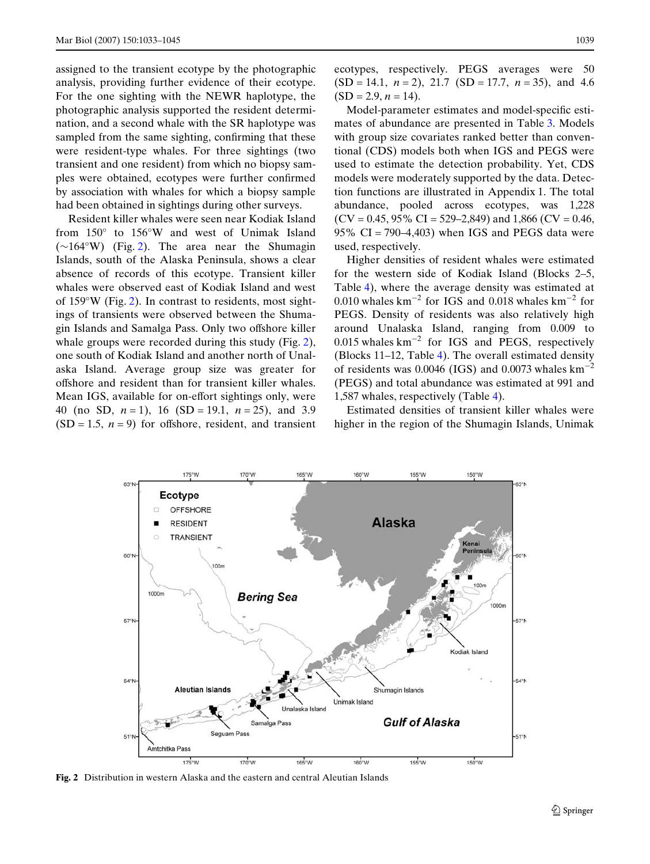assigned to the transient ecotype by the photographic analysis, providing further evidence of their ecotype. For the one sighting with the NEWR haplotype, the photographic analysis supported the resident determination, and a second whale with the SR haplotype was sampled from the same sighting, confirming that these were resident-type whales. For three sightings (two transient and one resident) from which no biopsy samples were obtained, ecotypes were further confirmed by association with whales for which a biopsy sample had been obtained in sightings during other surveys.

Resident killer whales were seen near Kodiak Island from 150° to 156°W and west of Unimak Island  $(\sim 164°W)$  (Fig. [2](#page-8-0)). The area near the Shumagin Islands, south of the Alaska Peninsula, shows a clear absence of records of this ecotype. Transient killer whales were observed east of Kodiak Island and west of 159°W (Fig. [2](#page-8-0)). In contrast to residents, most sightings of transients were observed between the Shumagin Islands and Samalga Pass. Only two offshore killer whale groups were recorded during this study (Fig. [2\)](#page-8-0), one south of Kodiak Island and another north of Unalaska Island. Average group size was greater for offshore and resident than for transient killer whales. Mean IGS, available for on-effort sightings only, were 40 (no SD, *n* = 1), 16 (SD = 19.1, *n* = 25), and 3.9  $(SD = 1.5, n = 9)$  for offshore, resident, and transient ecotypes, respectively. PEGS averages were 50 (SD = 14.1, *n* = 2), 21.7 (SD = 17.7, *n* = 35), and 4.6  $(SD = 2.9, n = 14).$ 

Model-parameter estimates and model-specific estimates of abundance are presented in Table [3](#page-9-0). Models with group size covariates ranked better than conventional (CDS) models both when IGS and PEGS were used to estimate the detection probability. Yet, CDS models were moderately supported by the data. Detection functions are illustrated in Appendix 1. The total abundance, pooled across ecotypes, was 1,228  $(CV = 0.45, 95\% \text{ CI} = 529-2,849)$  and 1,866  $(CV = 0.46,$ 95%  $CI = 790-4,403$ ) when IGS and PEGS data were used, respectively.

Higher densities of resident whales were estimated for the western side of Kodiak Island (Blocks 2–5, Table [4\)](#page-9-1), where the average density was estimated at 0.010 whales  $\text{km}^{-2}$  for IGS and 0.018 whales  $\text{km}^{-2}$  for PEGS. Density of residents was also relatively high around Unalaska Island, ranging from 0.009 to  $0.015$  whales  $km^{-2}$  for IGS and PEGS, respectively (Blocks 11–12, Table [4](#page-9-1)). The overall estimated density of residents was 0.0046 (IGS) and 0.0073 whales  $km^{-2}$ (PEGS) and total abundance was estimated at 991 and 1,587 whales, respectively (Table [4](#page-9-1)).

Estimated densities of transient killer whales were higher in the region of the Shumagin Islands, Unimak



<span id="page-8-0"></span>**Fig. 2** Distribution in western Alaska and the eastern and central Aleutian Islands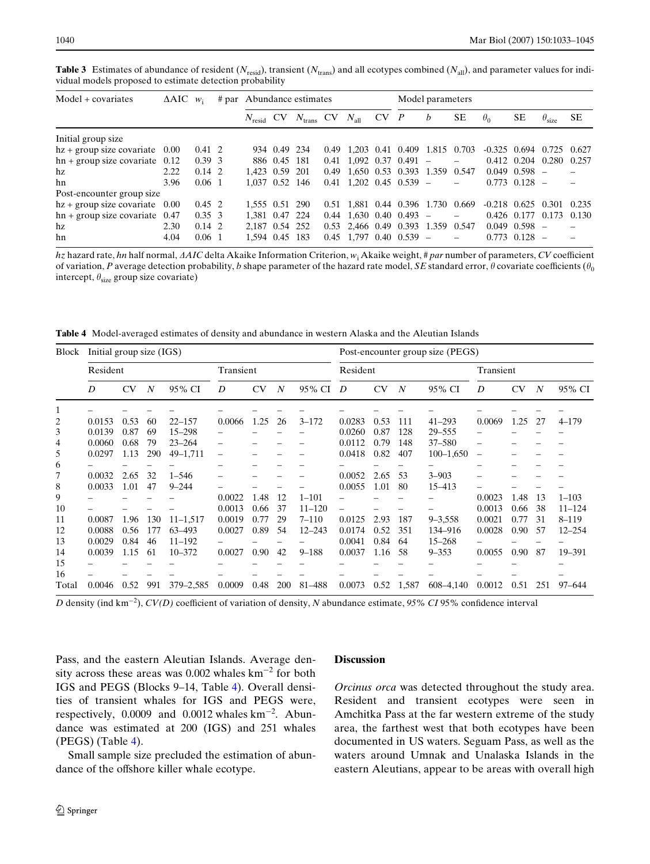| vidual models proposed to estimate detection probability |                       |                |  |                           |              |                                             |  |               |          |                                   |                  |     |            |                   |                                 |       |
|----------------------------------------------------------|-----------------------|----------------|--|---------------------------|--------------|---------------------------------------------|--|---------------|----------|-----------------------------------|------------------|-----|------------|-------------------|---------------------------------|-------|
| Model + covariates                                       | $\triangle AIC$ $w_i$ |                |  | # par Abundance estimates |              |                                             |  |               |          | Model parameters                  |                  |     |            |                   |                                 |       |
|                                                          |                       |                |  |                           |              | $N_{\text{resid}}$ CV $N_{\text{trans}}$ CV |  | $N_{\rm all}$ | $CV$ $P$ |                                   | $\boldsymbol{b}$ | SE. | $\theta_0$ | SЕ                | $\theta_{\rm size}$             | SЕ    |
| Initial group size                                       |                       |                |  |                           |              |                                             |  |               |          |                                   |                  |     |            |                   |                                 |       |
| $hz + group size covariate$ 0.00                         |                       | $0.41 \quad 2$ |  |                           | 934 0.49 234 |                                             |  |               |          | 0.49 1.203 0.41 0.409 1.815 0.703 |                  |     |            |                   | $-0.325$ 0.694 0.725 0.627      |       |
| $hn + group size covariate$ 0.12                         |                       | $0.39 \, 3$    |  |                           | 886 0.45 181 |                                             |  |               |          | $0.41$ 1.092 0.37 0.491 -         |                  |     |            |                   | 0.412 0.204 0.280 0.257         |       |
| hz                                                       | 2.22                  | $0.14 \, 2$    |  | 1.423 0.59 201            |              |                                             |  |               |          | 0.49 1.650 0.53 0.393 1.359 0.547 |                  |     |            | $0.049$ $0.598$ - |                                 |       |
| hn                                                       | 3.96                  | $0.06 \quad 1$ |  | 1.037 0.52 146            |              |                                             |  |               |          | $0.41$ 1,202 0.45 0.539 -         |                  |     |            | $0.773$ $0.128$ - |                                 |       |
| Post-encounter group size                                |                       |                |  |                           |              |                                             |  |               |          |                                   |                  |     |            |                   |                                 |       |
| $hz + group size covariate$ 0.00                         |                       | $0.45 \quad 2$ |  | 1.555 0.51 290            |              |                                             |  |               |          | 0.51 1.881 0.44 0.396 1.730 0.669 |                  |     |            |                   | $-0.218$ $0.625$ $0.301$        | 0.235 |
| $hn + group size covariate$ 0.47                         |                       | $0.35 \quad 3$ |  | 1.381 0.47 224            |              |                                             |  |               |          | $0.44$ 1.630 0.40 0.493 -         |                  |     |            |                   | $0.426$ $0.177$ $0.173$ $0.130$ |       |
| hz                                                       | 2.30                  | $0.14 \, 2$    |  | 2.187 0.54 252            |              |                                             |  |               |          | 0.53 2.466 0.49 0.393 1.359 0.547 |                  |     |            | $0.049$ $0.598$ - |                                 |       |
| hn                                                       | 4.04                  | $0.06 \quad 1$ |  | 1.594 0.45 183            |              |                                             |  |               |          | $0.45$ 1.797 0.40 0.539 -         |                  |     |            | $0.773$ $0.128$ - |                                 |       |

<span id="page-9-0"></span>**Table 3** Estimates of abundance of resident ( $N_{\text{resid}}$ ), transient ( $N_{\text{trans}}$ ) and all ecotypes combined ( $N_{\text{all}}$ ), and parameter values for individual models proposed to estimate detection probability

*hz* hazard rate, *hn* half normal, *AAIC* delta Akaike Information Criterion,  $w_i$  Akaike weight, # par number of parameters, *CV* coefficient of variation, P average detection probability, b shape parameter of the hazard rate model, SE standard error,  $\theta$  covariate coefficients ( $\theta_0$ intercept,  $\theta_{\text{size}}$  group size covariate)

<span id="page-9-1"></span>**Table 4** Model-averaged estimates of density and abundance in western Alaska and the Aleutian Islands

| Block | Initial group size (IGS) |           |                  |              |        |           |                  |            | Post-encounter group size (PEGS) |           |                  |               |                 |           |                  |            |  |
|-------|--------------------------|-----------|------------------|--------------|--------|-----------|------------------|------------|----------------------------------|-----------|------------------|---------------|-----------------|-----------|------------------|------------|--|
|       | Resident                 |           |                  | Transient    |        |           |                  | Resident   |                                  | Transient |                  |               |                 |           |                  |            |  |
|       | D                        | <b>CV</b> | $\boldsymbol{N}$ | 95% CI       | D      | <b>CV</b> | $\boldsymbol{N}$ | 95% CI     | D                                | <b>CV</b> | $\boldsymbol{N}$ | 95% CI        | D               | <b>CV</b> | $\boldsymbol{N}$ | 95% CI     |  |
| 1     |                          |           |                  |              |        |           |                  |            |                                  |           |                  |               |                 |           |                  |            |  |
| 2     | 0.0153                   | 0.53      | 60               | $22 - 157$   | 0.0066 | 1.25      | 26               | $3 - 172$  | 0.0283                           | 0.53      | 111              | $41 - 293$    | 0.0069          | 1.25      | 27               | $4 - 179$  |  |
| 3     | 0.0139                   | 0.87      | 69               | $15 - 298$   |        |           |                  |            | 0.0260                           | 0.87      | 128              | 29-555        |                 |           |                  |            |  |
| 4     | 0.0060                   | 0.68      | 79               | $23 - 264$   |        |           |                  |            | 0.0112                           | 0.79      | 148              | $37 - 580$    |                 |           |                  |            |  |
| 5     | 0.0297                   | 1.13      | 290              | 49-1,711     |        |           |                  |            | 0.0418                           | 0.82      | 407              | $100 - 1,650$ | $\qquad \qquad$ |           |                  |            |  |
| 6     |                          |           |                  |              |        |           |                  |            |                                  |           |                  |               |                 |           |                  |            |  |
| 7     | 0.0032                   | 2.65      | 32               | $1 - 546$    |        |           |                  |            | 0.0052                           | 2.65      | 53               | $3 - 903$     |                 |           |                  |            |  |
| 8     | 0.0033                   | 1.01      | 47               | $9 - 244$    |        |           |                  |            | 0.0055                           | 1.01      | 80               | 15-413        |                 |           |                  |            |  |
| 9     |                          |           |                  |              | 0.0022 | 1.48      | 12               | $1 - 101$  |                                  |           |                  |               | 0.0023          | 1.48      | 13               | $1 - 103$  |  |
| 10    |                          |           |                  |              | 0.0013 | 0.66      | 37               | $11 - 120$ |                                  |           |                  |               | 0.0013          | 0.66      | 38               | $11 - 124$ |  |
| 11    | 0.0087                   | 1.96      | 130              | $11 - 1,517$ | 0.0019 | 0.77      | 29               | $7 - 110$  | 0.0125                           | 2.93      | 187              | $9 - 3.558$   | 0.0021          | 0.77      | 31               | $8 - 119$  |  |
| 12    | 0.0088                   | 0.56      | 177              | 63-493       | 0.0027 | 0.89      | 54               | $12 - 243$ | 0.0174                           | 0.52      | 351              | 134-916       | 0.0028          | 0.90      | 57               | $12 - 254$ |  |
| 13    | 0.0029                   | 0.84      | 46               | $11 - 192$   |        |           |                  |            | 0.0041                           | 0.84      | 64               | $15 - 268$    |                 |           |                  |            |  |
| 14    | 0.0039                   | 1.15      | 61               | $10 - 372$   | 0.0027 | 0.90      | 42               | $9 - 188$  | 0.0037                           | 1.16      | 58               | $9 - 353$     | 0.0055          | 0.90      | 87               | 19-391     |  |
| 15    |                          |           |                  |              |        |           |                  |            |                                  |           |                  |               |                 |           |                  |            |  |
| 16    |                          |           |                  |              |        |           |                  |            |                                  |           |                  |               |                 |           |                  |            |  |
| Total | 0.0046                   | 0.52      | 991              | 379 - 2,585  | 0.0009 | 0.48      | 200              | 81-488     | 0.0073                           | 0.52      | 1,587            | 608-4,140     | 0.0012          | 0.51      | 251              | 97–644     |  |

*D* density (ind km<sup>-2</sup>), *CV(D)* coefficient of variation of density, *N* abundance estimate, 95% *CI* 95% confidence interval

Pass, and the eastern Aleutian Islands. Average density across these areas was  $0.002$  whales  $km^{-2}$  for both IGS and PEGS (Blocks 9–14, Table [4](#page-9-1)). Overall densities of transient whales for IGS and PEGS were, respectively,  $0.0009$  and  $0.0012$  whales  $km^{-2}$ . Abundance was estimated at 200 (IGS) and 251 whales (PEGS) (Table [4\)](#page-9-1).

Small sample size precluded the estimation of abundance of the offshore killer whale ecotype.

#### **Discussion**

*Orcinus orca* was detected throughout the study area. Resident and transient ecotypes were seen in Amchitka Pass at the far western extreme of the study area, the farthest west that both ecotypes have been documented in US waters. Seguam Pass, as well as the waters around Umnak and Unalaska Islands in the eastern Aleutians, appear to be areas with overall high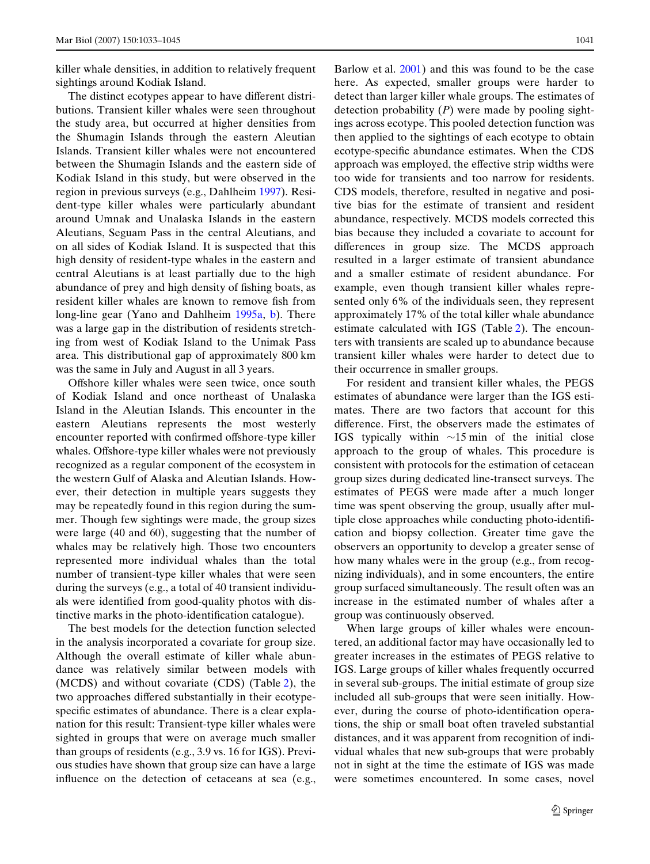killer whale densities, in addition to relatively frequent sightings around Kodiak Island.

The distinct ecotypes appear to have different distributions. Transient killer whales were seen throughout the study area, but occurred at higher densities from the Shumagin Islands through the eastern Aleutian Islands. Transient killer whales were not encountered between the Shumagin Islands and the eastern side of Kodiak Island in this study, but were observed in the region in previous surveys (e.g., Dahlheim [1997](#page-13-14)). Resident-type killer whales were particularly abundant around Umnak and Unalaska Islands in the eastern Aleutians, Seguam Pass in the central Aleutians, and on all sides of Kodiak Island. It is suspected that this high density of resident-type whales in the eastern and central Aleutians is at least partially due to the high abundance of prey and high density of fishing boats, as resident killer whales are known to remove fish from long-line gear (Yano and Dahlheim [1995a,](#page-14-3) [b\)](#page-14-4). There was a large gap in the distribution of residents stretching from west of Kodiak Island to the Unimak Pass area. This distributional gap of approximately 800 km was the same in July and August in all 3 years.

Offshore killer whales were seen twice, once south of Kodiak Island and once northeast of Unalaska Island in the Aleutian Islands. This encounter in the eastern Aleutians represents the most westerly encounter reported with confirmed offshore-type killer whales. Offshore-type killer whales were not previously recognized as a regular component of the ecosystem in the western Gulf of Alaska and Aleutian Islands. However, their detection in multiple years suggests they may be repeatedly found in this region during the summer. Though few sightings were made, the group sizes were large (40 and 60), suggesting that the number of whales may be relatively high. Those two encounters represented more individual whales than the total number of transient-type killer whales that were seen during the surveys (e.g., a total of 40 transient individuals were identified from good-quality photos with distinctive marks in the photo-identification catalogue).

The best models for the detection function selected in the analysis incorporated a covariate for group size. Although the overall estimate of killer whale abundance was relatively similar between models with (MCDS) and without covariate (CDS) (Table [2\)](#page-7-0), the two approaches differed substantially in their ecotypespecific estimates of abundance. There is a clear explanation for this result: Transient-type killer whales were sighted in groups that were on average much smaller than groups of residents (e.g., 3.9 vs. 16 for IGS). Previous studies have shown that group size can have a large influence on the detection of cetaceans at sea (e.g.,

Barlow et al. [2001](#page-12-6)) and this was found to be the case here. As expected, smaller groups were harder to detect than larger killer whale groups. The estimates of detection probability (*P*) were made by pooling sightings across ecotype. This pooled detection function was then applied to the sightings of each ecotype to obtain ecotype-specific abundance estimates. When the CDS approach was employed, the effective strip widths were too wide for transients and too narrow for residents. CDS models, therefore, resulted in negative and positive bias for the estimate of transient and resident abundance, respectively. MCDS models corrected this bias because they included a covariate to account for differences in group size. The MCDS approach resulted in a larger estimate of transient abundance and a smaller estimate of resident abundance. For example, even though transient killer whales represented only 6% of the individuals seen, they represent approximately 17% of the total killer whale abundance estimate calculated with IGS (Table [2](#page-7-0)). The encounters with transients are scaled up to abundance because transient killer whales were harder to detect due to their occurrence in smaller groups.

For resident and transient killer whales, the PEGS estimates of abundance were larger than the IGS estimates. There are two factors that account for this difference. First, the observers made the estimates of IGS typically within  $\sim$ 15 min of the initial close approach to the group of whales. This procedure is consistent with protocols for the estimation of cetacean group sizes during dedicated line-transect surveys. The estimates of PEGS were made after a much longer time was spent observing the group, usually after multiple close approaches while conducting photo-identification and biopsy collection. Greater time gave the observers an opportunity to develop a greater sense of how many whales were in the group (e.g., from recognizing individuals), and in some encounters, the entire group surfaced simultaneously. The result often was an increase in the estimated number of whales after a group was continuously observed.

When large groups of killer whales were encountered, an additional factor may have occasionally led to greater increases in the estimates of PEGS relative to IGS. Large groups of killer whales frequently occurred in several sub-groups. The initial estimate of group size included all sub-groups that were seen initially. However, during the course of photo-identification operations, the ship or small boat often traveled substantial distances, and it was apparent from recognition of individual whales that new sub-groups that were probably not in sight at the time the estimate of IGS was made were sometimes encountered. In some cases, novel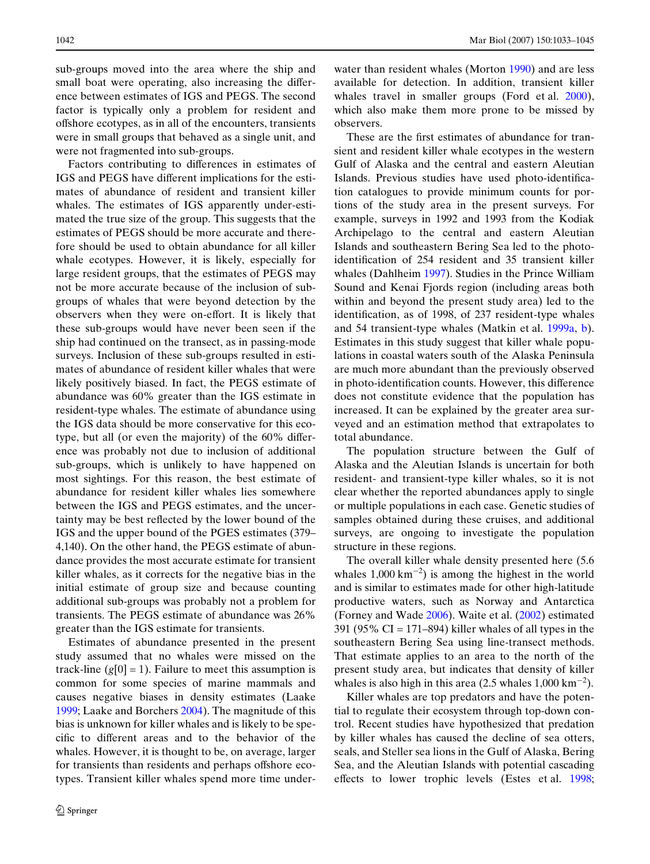sub-groups moved into the area where the ship and small boat were operating, also increasing the difference between estimates of IGS and PEGS. The second factor is typically only a problem for resident and offshore ecotypes, as in all of the encounters, transients were in small groups that behaved as a single unit, and were not fragmented into sub-groups.

Factors contributing to differences in estimates of IGS and PEGS have different implications for the estimates of abundance of resident and transient killer whales. The estimates of IGS apparently under-estimated the true size of the group. This suggests that the estimates of PEGS should be more accurate and therefore should be used to obtain abundance for all killer whale ecotypes. However, it is likely, especially for large resident groups, that the estimates of PEGS may not be more accurate because of the inclusion of subgroups of whales that were beyond detection by the observers when they were on-effort. It is likely that these sub-groups would have never been seen if the ship had continued on the transect, as in passing-mode surveys. Inclusion of these sub-groups resulted in estimates of abundance of resident killer whales that were likely positively biased. In fact, the PEGS estimate of abundance was 60% greater than the IGS estimate in resident-type whales. The estimate of abundance using the IGS data should be more conservative for this ecotype, but all (or even the majority) of the  $60\%$  difference was probably not due to inclusion of additional sub-groups, which is unlikely to have happened on most sightings. For this reason, the best estimate of abundance for resident killer whales lies somewhere between the IGS and PEGS estimates, and the uncertainty may be best reflected by the lower bound of the IGS and the upper bound of the PGES estimates (379– 4,140). On the other hand, the PEGS estimate of abundance provides the most accurate estimate for transient killer whales, as it corrects for the negative bias in the initial estimate of group size and because counting additional sub-groups was probably not a problem for transients. The PEGS estimate of abundance was 26% greater than the IGS estimate for transients.

Estimates of abundance presented in the present study assumed that no whales were missed on the track-line  $(g[0] = 1)$ . Failure to meet this assumption is common for some species of marine mammals and causes negative biases in density estimates (Laake [1999](#page-13-25); Laake and Borchers [2004\)](#page-13-26). The magnitude of this bias is unknown for killer whales and is likely to be specific to different areas and to the behavior of the whales. However, it is thought to be, on average, larger for transients than residents and perhaps offshore ecotypes. Transient killer whales spend more time underwater than resident whales (Morton [1990](#page-14-11)) and are less available for detection. In addition, transient killer whales travel in smaller groups (Ford et al. [2000\)](#page-13-4), which also make them more prone to be missed by observers.

These are the first estimates of abundance for transient and resident killer whale ecotypes in the western Gulf of Alaska and the central and eastern Aleutian Islands. Previous studies have used photo-identification catalogues to provide minimum counts for portions of the study area in the present surveys. For example, surveys in 1992 and 1993 from the Kodiak Archipelago to the central and eastern Aleutian Islands and southeastern Bering Sea led to the photoidentification of 254 resident and 35 transient killer whales (Dahlheim [1997](#page-13-14)). Studies in the Prince William Sound and Kenai Fjords region (including areas both within and beyond the present study area) led to the identification, as of 1998, of 237 resident-type whales and 54 transient-type whales (Matkin et al. [1999a](#page-13-12), [b\)](#page-14-5). Estimates in this study suggest that killer whale populations in coastal waters south of the Alaska Peninsula are much more abundant than the previously observed in photo-identification counts. However, this difference does not constitute evidence that the population has increased. It can be explained by the greater area surveyed and an estimation method that extrapolates to total abundance.

The population structure between the Gulf of Alaska and the Aleutian Islands is uncertain for both resident- and transient-type killer whales, so it is not clear whether the reported abundances apply to single or multiple populations in each case. Genetic studies of samples obtained during these cruises, and additional surveys, are ongoing to investigate the population structure in these regions.

The overall killer whale density presented here (5.6 whales  $1,000 \text{ km}^{-2}$ ) is among the highest in the world and is similar to estimates made for other high-latitude productive waters, such as Norway and Antarctica (Forney and Wade [2006\)](#page-13-27). Waite et al. ([2002\)](#page-14-8) estimated 391 (95%  $CI = 171-894$ ) killer whales of all types in the southeastern Bering Sea using line-transect methods. That estimate applies to an area to the north of the present study area, but indicates that density of killer whales is also high in this area (2.5 whales  $1,000 \text{ km}^{-2}$ ).

Killer whales are top predators and have the potential to regulate their ecosystem through top-down control. Recent studies have hypothesized that predation by killer whales has caused the decline of sea otters, seals, and Steller sea lions in the Gulf of Alaska, Bering Sea, and the Aleutian Islands with potential cascading effects to lower trophic levels (Estes et al. [1998;](#page-13-11)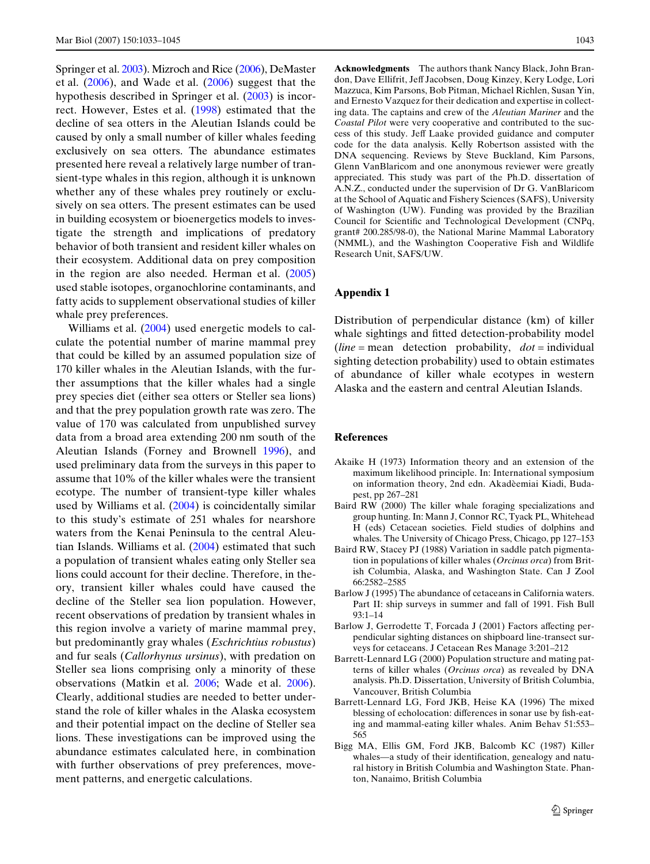Springer et al. [2003\)](#page-14-2). Mizroch and Rice [\(2006\)](#page-14-12), DeMaster et al. [\(2006](#page-13-28)), and Wade et al. ([2006](#page-14-13)) suggest that the hypothesis described in Springer et al. [\(2003](#page-14-2)) is incorrect. However, Estes et al. ([1998\)](#page-13-11) estimated that the decline of sea otters in the Aleutian Islands could be caused by only a small number of killer whales feeding exclusively on sea otters. The abundance estimates presented here reveal a relatively large number of transient-type whales in this region, although it is unknown whether any of these whales prey routinely or exclusively on sea otters. The present estimates can be used in building ecosystem or bioenergetics models to investigate the strength and implications of predatory behavior of both transient and resident killer whales on their ecosystem. Additional data on prey composition in the region are also needed. Herman et al.  $(2005)$  $(2005)$ used stable isotopes, organochlorine contaminants, and fatty acids to supplement observational studies of killer whale prey preferences.

Williams et al. ([2004\)](#page-14-14) used energetic models to calculate the potential number of marine mammal prey that could be killed by an assumed population size of 170 killer whales in the Aleutian Islands, with the further assumptions that the killer whales had a single prey species diet (either sea otters or Steller sea lions) and that the prey population growth rate was zero. The value of 170 was calculated from unpublished survey data from a broad area extending 200 nm south of the Aleutian Islands (Forney and Brownell [1996\)](#page-13-29), and used preliminary data from the surveys in this paper to assume that 10% of the killer whales were the transient ecotype. The number of transient-type killer whales used by Williams et al. ([2004\)](#page-14-14) is coincidentally similar to this study's estimate of 251 whales for nearshore waters from the Kenai Peninsula to the central Aleutian Islands. Williams et al. ([2004\)](#page-14-14) estimated that such a population of transient whales eating only Steller sea lions could account for their decline. Therefore, in theory, transient killer whales could have caused the decline of the Steller sea lion population. However, recent observations of predation by transient whales in this region involve a variety of marine mammal prey, but predominantly gray whales (*Eschrichtius robustus*) and fur seals (*Callorhynus ursinus*), with predation on Steller sea lions comprising only a minority of these observations (Matkin et al. [2006](#page-14-15); Wade et al. [2006\)](#page-14-13). Clearly, additional studies are needed to better understand the role of killer whales in the Alaska ecosystem and their potential impact on the decline of Steller sea lions. These investigations can be improved using the abundance estimates calculated here, in combination with further observations of prey preferences, movement patterns, and energetic calculations.

**Acknowledgments** The authors thank Nancy Black, John Brandon, Dave Ellifrit, Jeff Jacobsen, Doug Kinzey, Kery Lodge, Lori Mazzuca, Kim Parsons, Bob Pitman, Michael Richlen, Susan Yin, and Ernesto Vazquez for their dedication and expertise in collecting data. The captains and crew of the *Aleutian Mariner* and the *Coastal Pilot* were very cooperative and contributed to the success of this study. Jeff Laake provided guidance and computer code for the data analysis. Kelly Robertson assisted with the DNA sequencing. Reviews by Steve Buckland, Kim Parsons, Glenn VanBlaricom and one anonymous reviewer were greatly appreciated. This study was part of the Ph.D. dissertation of A.N.Z., conducted under the supervision of Dr G. VanBlaricom at the School of Aquatic and Fishery Sciences (SAFS), University of Washington (UW). Funding was provided by the Brazilian Council for Scientific and Technological Development (CNPq, grant# 200.285/98-0), the National Marine Mammal Laboratory (NMML), and the Washington Cooperative Fish and Wildlife Research Unit, SAFS/UW.

#### **Appendix 1**

Distribution of perpendicular distance (km) of killer whale sightings and fitted detection-probability model (*line* = mean detection probability, *dot* = individual sighting detection probability) used to obtain estimates of abundance of killer whale ecotypes in western Alaska and the eastern and central Aleutian Islands.

#### **References**

- <span id="page-12-5"></span>Akaike H (1973) Information theory and an extension of the maximum likelihood principle. In: International symposium on information theory, 2nd edn. Akadèemiai Kiadi, Budapest, pp 267–281
- <span id="page-12-2"></span>Baird RW (2000) The killer whale foraging specializations and group hunting. In: Mann J, Connor RC, Tyack PL, Whitehead H (eds) Cetacean societies. Field studies of dolphins and whales. The University of Chicago Press, Chicago, pp 127–153
- <span id="page-12-0"></span>Baird RW, Stacey PJ (1988) Variation in saddle patch pigmentation in populations of killer whales (*Orcinus orca*) from British Columbia, Alaska, and Washington State. Can J Zool 66:2582–2585
- <span id="page-12-3"></span>Barlow J (1995) The abundance of cetaceans in California waters. Part II: ship surveys in summer and fall of 1991. Fish Bull 93:1–14
- <span id="page-12-6"></span>Barlow J, Gerrodette T, Forcada J (2001) Factors affecting perpendicular sighting distances on shipboard line-transect surveys for cetaceans. J Cetacean Res Manage 3:201–212
- <span id="page-12-4"></span>Barrett-Lennard LG (2000) Population structure and mating patterns of killer whales (*Orcinus orca*) as revealed by DNA analysis. Ph.D. Dissertation, University of British Columbia, Vancouver, British Columbia
- <span id="page-12-1"></span>Barrett-Lennard LG, Ford JKB, Heise KA (1996) The mixed blessing of echolocation: differences in sonar use by fish-eating and mammal-eating killer whales. Anim Behav 51:553– 565
- Bigg MA, Ellis GM, Ford JKB, Balcomb KC (1987) Killer whales—a study of their identification, genealogy and natural history in British Columbia and Washington State. Phanton, Nanaimo, British Columbia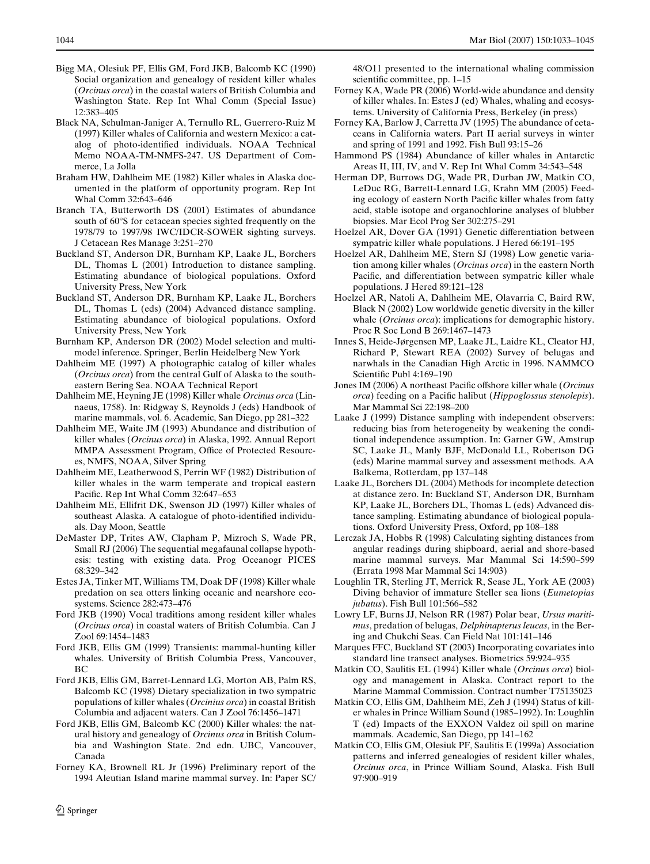- <span id="page-13-1"></span>Bigg MA, Olesiuk PF, Ellis GM, Ford JKB, Balcomb KC (1990) Social organization and genealogy of resident killer whales (*Orcinus orca*) in the coastal waters of British Columbia and Washington State. Rep Int Whal Comm (Special Issue) 12:383–405
- Black NA, Schulman-Janiger A, Ternullo RL, Guerrero-Ruiz M (1997) Killer whales of California and western Mexico: a catalog of photo-identified individuals. NOAA Technical Memo NOAA-TM-NMFS-247. US Department of Commerce, La Jolla
- Braham HW, Dahlheim ME (1982) Killer whales in Alaska documented in the platform of opportunity program. Rep Int Whal Comm 32:643–646
- <span id="page-13-18"></span>Branch TA, Butterworth DS (2001) Estimates of abundance south of 60°S for cetacean species sighted frequently on the 1978/79 to 1997/98 IWC/IDCR-SOWER sighting surveys. J Cetacean Res Manage 3:251–270
- <span id="page-13-15"></span>Buckland ST, Anderson DR, Burnham KP, Laake JL, Borchers DL, Thomas L (2001) Introduction to distance sampling. Estimating abundance of biological populations. Oxford University Press, New York
- <span id="page-13-21"></span>Buckland ST, Anderson DR, Burnham KP, Laake JL, Borchers DL, Thomas L (eds) (2004) Advanced distance sampling. Estimating abundance of biological populations. Oxford University Press, New York
- <span id="page-13-24"></span>Burnham KP, Anderson DR (2002) Model selection and multimodel inference. Springer, Berlin Heidelberg New York
- <span id="page-13-14"></span>Dahlheim ME (1997) A photographic catalog of killer whales (*Orcinus orca*) from the central Gulf of Alaska to the southeastern Bering Sea. NOAA Technical Report
- <span id="page-13-0"></span>Dahlheim ME, Heyning JE (1998) Killer whale *Orcinus orca* (Linnaeus, 1758). In: Ridgway S, Reynolds J (eds) Handbook of marine mammals, vol. 6. Academic, San Diego, pp 281–322
- <span id="page-13-13"></span>Dahlheim ME, Waite JM (1993) Abundance and distribution of killer whales (*Orcinus orca*) in Alaska, 1992. Annual Report MMPA Assessment Program, Office of Protected Resources, NMFS, NOAA, Silver Spring
- Dahlheim ME, Leatherwood S, Perrin WF (1982) Distribution of killer whales in the warm temperate and tropical eastern Pacific. Rep Int Whal Comm 32:647-653
- <span id="page-13-3"></span>Dahlheim ME, Ellifrit DK, Swenson JD (1997) Killer whales of southeast Alaska. A catalogue of photo-identified individuals. Day Moon, Seattle
- <span id="page-13-28"></span>DeMaster DP, Trites AW, Clapham P, Mizroch S, Wade PR, Small RJ (2006) The sequential megafaunal collapse hypothesis: testing with existing data. Prog Oceanogr PICES 68:329–342
- <span id="page-13-11"></span>Estes JA, Tinker MT, Williams TM, Doak DF (1998) Killer whale predation on sea otters linking oceanic and nearshore ecosystems. Science 282:473–476
- Ford JKB (1990) Vocal traditions among resident killer whales (*Orcinus orca*) in coastal waters of British Columbia. Can J Zool 69:1454–1483
- Ford JKB, Ellis GM (1999) Transients: mammal-hunting killer whales. University of British Columbia Press, Vancouver, BC
- <span id="page-13-7"></span>Ford JKB, Ellis GM, Barret-Lennard LG, Morton AB, Palm RS, Balcomb KC (1998) Dietary specialization in two sympatric populations of killer whales (*Orcinius orca*) in coastal British Columbia and adjacent waters. Can J Zool 76:1456–1471
- <span id="page-13-4"></span>Ford JKB, Ellis GM, Balcomb KC (2000) Killer whales: the natural history and genealogy of *Orcinus orca* in British Columbia and Washington State. 2nd edn. UBC, Vancouver, Canada
- <span id="page-13-29"></span>Forney KA, Brownell RL Jr (1996) Preliminary report of the 1994 Aleutian Island marine mammal survey. In: Paper SC/

48/O11 presented to the international whaling commission scientific committee, pp. 1–15

- <span id="page-13-27"></span>Forney KA, Wade PR (2006) World-wide abundance and density of killer whales. In: Estes J (ed) Whales, whaling and ecosystems. University of California Press, Berkeley (in press)
- <span id="page-13-17"></span>Forney KA, Barlow J, Carretta JV (1995) The abundance of cetaceans in California waters. Part II aerial surveys in winter and spring of 1991 and 1992. Fish Bull 93:15–26
- <span id="page-13-16"></span>Hammond PS (1984) Abundance of killer whales in Antarctic Areas II, III, IV, and V. Rep Int Whal Comm 34:543–548
- <span id="page-13-9"></span>Herman DP, Burrows DG, Wade PR, Durban JW, Matkin CO, LeDuc RG, Barrett-Lennard LG, Krahn MM (2005) Feeding ecology of eastern North Pacific killer whales from fatty acid, stable isotope and organochlorine analyses of blubber biopsies. Mar Ecol Prog Ser 302:275–291
- <span id="page-13-5"></span>Hoelzel AR, Dover GA (1991) Genetic differentiation between sympatric killer whale populations. J Hered 66:191–195
- <span id="page-13-8"></span>Hoelzel AR, Dahlheim ME, Stern SJ (1998) Low genetic variation among killer whales (*Orcinus orca*) in the eastern North Pacific, and differentiation between sympatric killer whale populations. J Hered 89:121–128
- <span id="page-13-20"></span>Hoelzel AR, Natoli A, Dahlheim ME, Olavarria C, Baird RW, Black N (2002) Low worldwide genetic diversity in the killer whale (*Orcinus orca*): implications for demographic history. Proc R Soc Lond B 269:1467–1473
- <span id="page-13-23"></span>Innes S, Heide-Jørgensen MP, Laake JL, Laidre KL, Cleator HJ, Richard P, Stewart REA (2002) Survey of belugas and narwhals in the Canadian High Arctic in 1996. NAMMCO Scientific Publ 4:169-190
- <span id="page-13-10"></span>Jones IM (2006) A northeast Pacific offshore killer whale (*Orcinus orca*) feeding on a Pacific halibut (*Hippoglossus stenolepis*). Mar Mammal Sci 22:198–200
- <span id="page-13-25"></span>Laake J (1999) Distance sampling with independent observers: reducing bias from heterogeneity by weakening the conditional independence assumption. In: Garner GW, Amstrup SC, Laake JL, Manly BJF, McDonald LL, Robertson DG (eds) Marine mammal survey and assessment methods. AA Balkema, Rotterdam, pp 137–148
- <span id="page-13-26"></span>Laake JL, Borchers DL (2004) Methods for incomplete detection at distance zero. In: Buckland ST, Anderson DR, Burnham KP, Laake JL, Borchers DL, Thomas L (eds) Advanced distance sampling. Estimating abundance of biological populations. Oxford University Press, Oxford, pp 108–188
- Lerczak JA, Hobbs R (1998) Calculating sighting distances from angular readings during shipboard, aerial and shore-based marine mammal surveys. Mar Mammal Sci 14:590–599 (Errata 1998 Mar Mammal Sci 14:903)
- <span id="page-13-19"></span>Loughlin TR, Sterling JT, Merrick R, Sease JL, York AE (2003) Diving behavior of immature Steller sea lions (*Eumetopias jubatus*). Fish Bull 101:566–582
- Lowry LF, Burns JJ, Nelson RR (1987) Polar bear, *Ursus maritimus*, predation of belugas, *Delphinapterus leucas*, in the Bering and Chukchi Seas. Can Field Nat 101:141–146
- <span id="page-13-22"></span>Marques FFC, Buckland ST (2003) Incorporating covariates into standard line transect analyses. Biometrics 59:924–935
- <span id="page-13-6"></span>Matkin CO, Saulitis EL (1994) Killer whale (*Orcinus orca*) biology and management in Alaska. Contract report to the Marine Mammal Commission. Contract number T75135023
- <span id="page-13-2"></span>Matkin CO, Ellis GM, Dahlheim ME, Zeh J (1994) Status of killer whales in Prince William Sound (1985–1992). In: Loughlin T (ed) Impacts of the EXXON Valdez oil spill on marine mammals. Academic, San Diego, pp 141–162
- <span id="page-13-12"></span>Matkin CO, Ellis GM, Olesiuk PF, Saulitis E (1999a) Association patterns and inferred genealogies of resident killer whales, *Orcinus orca*, in Prince William Sound, Alaska. Fish Bull 97:900–919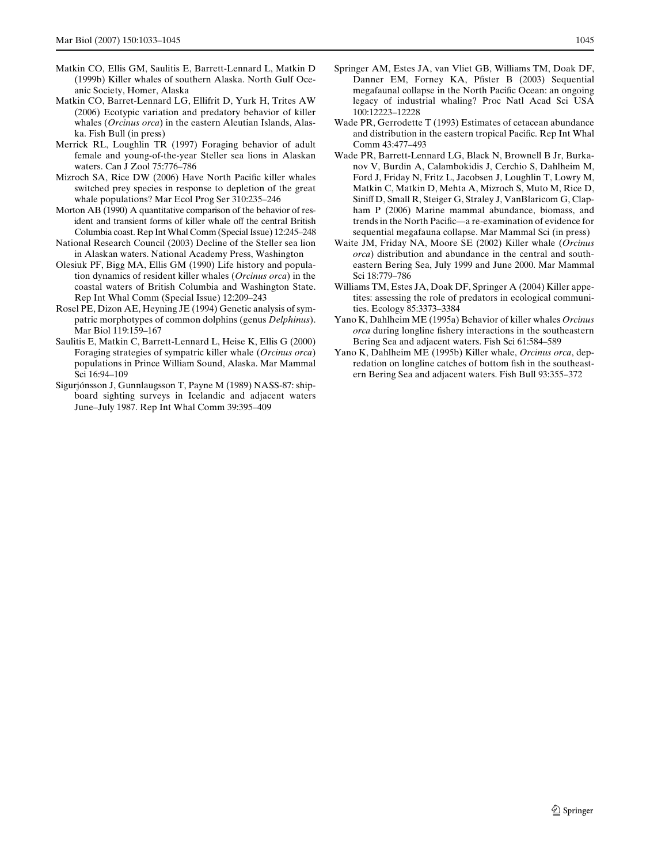- <span id="page-14-5"></span>Matkin CO, Ellis GM, Saulitis E, Barrett-Lennard L, Matkin D (1999b) Killer whales of southern Alaska. North Gulf Oceanic Society, Homer, Alaska
- <span id="page-14-15"></span>Matkin CO, Barret-Lennard LG, Ellifrit D, Yurk H, Trites AW (2006) Ecotypic variation and predatory behavior of killer whales (*Orcinus orca*) in the eastern Aleutian Islands, Alaska. Fish Bull (in press)
- <span id="page-14-9"></span>Merrick RL, Loughlin TR (1997) Foraging behavior of adult female and young-of-the-year Steller sea lions in Alaskan waters. Can J Zool 75:776–786
- <span id="page-14-12"></span>Mizroch SA, Rice DW (2006) Have North Pacific killer whales switched prey species in response to depletion of the great whale populations? Mar Ecol Prog Ser 310:235–246
- <span id="page-14-11"></span>Morton AB (1990) A quantitative comparison of the behavior of resident and transient forms of killer whale off the central British Columbia coast. Rep Int Whal Comm (Special Issue) 12:245–248
- National Research Council (2003) Decline of the Steller sea lion in Alaskan waters. National Academy Press, Washington
- <span id="page-14-0"></span>Olesiuk PF, Bigg MA, Ellis GM (1990) Life history and population dynamics of resident killer whales (*Orcinus orca*) in the coastal waters of British Columbia and Washington State. Rep Int Whal Comm (Special Issue) 12:209–243
- <span id="page-14-10"></span>Rosel PE, Dizon AE, Heyning JE (1994) Genetic analysis of sympatric morphotypes of common dolphins (genus *Delphinus*). Mar Biol 119:159–167
- <span id="page-14-1"></span>Saulitis E, Matkin C, Barrett-Lennard L, Heise K, Ellis G (2000) Foraging strategies of sympatric killer whale (*Orcinus orca*) populations in Prince William Sound, Alaska. Mar Mammal Sci 16:94–109
- <span id="page-14-6"></span>Sigurjónsson J, Gunnlaugsson T, Payne M (1989) NASS-87: shipboard sighting surveys in Icelandic and adjacent waters June–July 1987. Rep Int Whal Comm 39:395–409
- <span id="page-14-2"></span>Springer AM, Estes JA, van Vliet GB, Williams TM, Doak DF, Danner EM, Forney KA, Pfister B (2003) Sequential megafaunal collapse in the North Pacific Ocean: an ongoing legacy of industrial whaling? Proc Natl Acad Sci USA 100:12223–12228
- <span id="page-14-7"></span>Wade PR, Gerrodette T (1993) Estimates of cetacean abundance and distribution in the eastern tropical Pacific. Rep Int Whal Comm 43:477–493
- <span id="page-14-13"></span>Wade PR, Barrett-Lennard LG, Black N, Brownell B Jr, Burkanov V, Burdin A, Calambokidis J, Cerchio S, Dahlheim M, Ford J, Friday N, Fritz L, Jacobsen J, Loughlin T, Lowry M, Matkin C, Matkin D, Mehta A, Mizroch S, Muto M, Rice D, Siniff D, Small R, Steiger G, Straley J, VanBlaricom G, Clapham P (2006) Marine mammal abundance, biomass, and trends in the North Pacific—a re-examination of evidence for sequential megafauna collapse. Mar Mammal Sci (in press)
- <span id="page-14-8"></span>Waite JM, Friday NA, Moore SE (2002) Killer whale (*Orcinus orca*) distribution and abundance in the central and southeastern Bering Sea, July 1999 and June 2000. Mar Mammal Sci 18:779–786
- <span id="page-14-14"></span>Williams TM, Estes JA, Doak DF, Springer A (2004) Killer appetites: assessing the role of predators in ecological communities. Ecology 85:3373–3384
- <span id="page-14-3"></span>Yano K, Dahlheim ME (1995a) Behavior of killer whales *Orcinus orca* during longline fishery interactions in the southeastern Bering Sea and adjacent waters. Fish Sci 61:584–589
- <span id="page-14-4"></span>Yano K, Dahlheim ME (1995b) Killer whale, *Orcinus orca*, depredation on longline catches of bottom fish in the southeastern Bering Sea and adjacent waters. Fish Bull 93:355–372